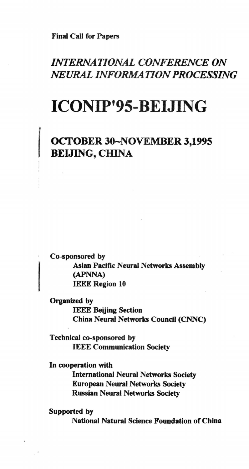*I*

# *INTERNATIONAL CONFERENCE ON NEURAL INFORMATIONPROCESSING*

# ICONIP'95-BEIJING

# OCTOBER 30-NOVEMBER 3,1995 BEIJING, CHINA

Co-sponsored by Asian Pacific Neural Networks Assembly (APNNA) IEEE Region 10

Organized by IEEE Beijing Section China Neural Networks Council (CNNC)

Technical co-sponsored by IEEE Communication Society

In cooperation with

International Neural Networks Society European Neural Networks Society Russian Neural Networks Society

Supported by National Natural Science Foundation of China